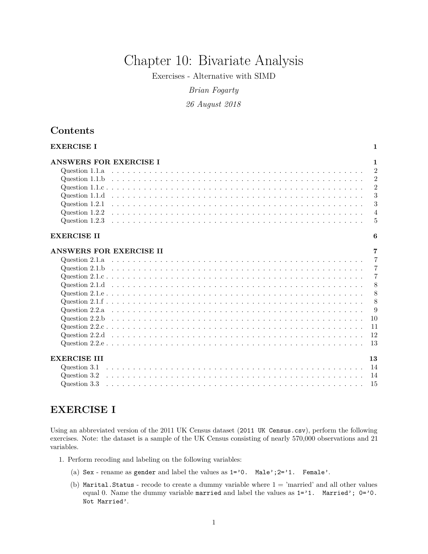# Chapter 10: Bivariate Analysis

Exercises - Alternative with SIMD

*Brian Fogarty*

*26 August 2018*

## **Contents**

| <b>EXERCISE I</b>              | 1              |
|--------------------------------|----------------|
| ANSWERS FOR EXERCISE I         | 1              |
| Question 1.1.a                 | $\overline{2}$ |
| Question 1.1.b                 | $\overline{2}$ |
|                                | $\overline{2}$ |
| Question 1.1.d                 | 3              |
| Question 1.2.1                 | 3              |
| Question 1.2.2                 | $\overline{4}$ |
| Question 1.2.3                 | 5              |
| <b>EXERCISE II</b>             | 6              |
| <b>ANSWERS FOR EXERCISE II</b> | 7              |
|                                | $\overline{7}$ |
|                                | $\overline{7}$ |
|                                | $\overline{7}$ |
|                                | 8              |
|                                | 8              |
|                                | 8              |
|                                | 9              |
|                                | 10             |
|                                | 11             |
|                                | 12             |
|                                | 13             |
| <b>EXERCISE III</b>            | 13             |
| Question 3.1                   | 14             |
| Question 3.2                   | 14             |
| Question 3.3                   | 15             |

## <span id="page-0-0"></span>**EXERCISE I**

Using an abbreviated version of the 2011 UK Census dataset (2011 UK Census.csv), perform the following exercises. Note: the dataset is a sample of the UK Census consisting of nearly 570,000 observations and 21 variables.

- 1. Perform recoding and labeling on the following variables:
	- (a) Sex rename as gender and label the values as  $1='0$ . Male'; $2='1$ . Female'.
	- (b) Marital.Status recode to create a dummy variable where  $1 = 'married'$  and all other values equal 0. Name the dummy variable married and label the values as  $1='1$ . Married';  $0='0$ . Not Married'.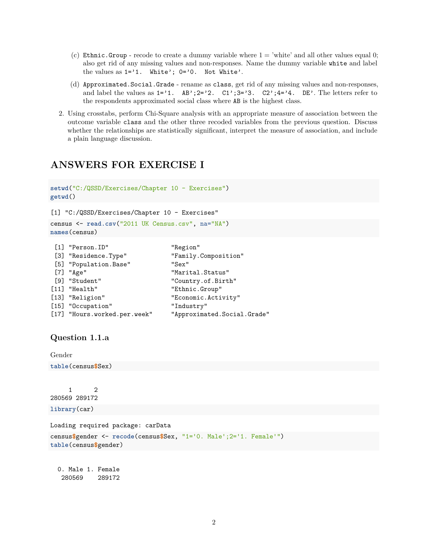- (c) Ethnic.Group recode to create a dummy variable where  $1 = 'white'$  and all other values equal 0; also get rid of any missing values and non-responses. Name the dummy variable white and label the values as  $1='1$ . White';  $0='0$ . Not White'.
- (d) Approximated.Social.Grade rename as class, get rid of any missing values and non-responses, and label the values as  $1='1$ . AB'; $2='2$ . C1'; $3='3$ . C2'; $4='4$ . DE'. The letters refer to the respondents approximated social class where AB is the highest class.
- 2. Using crosstabs, perform Chi-Square analysis with an appropriate measure of association between the outcome variable class and the other three recoded variables from the previous question. Discuss whether the relationships are statistically significant, interpret the measure of association, and include a plain language discussion.

## <span id="page-1-0"></span>**ANSWERS FOR EXERCISE I**

```
setwd("C:/QSSD/Exercises/Chapter 10 - Exercises")
getwd()
[1] "C:/QSSD/Exercises/Chapter 10 - Exercises"
census <- read.csv("2011 UK Census.csv", na="NA")
```

```
[1] "Person.ID" "Region"
[3] "Residence.Type" "Family.Composition"
[5] "Population.Base" "Sex"
[7] "Age" "Marital.Status" [9] "Student" [9] "Student" \blacksquare[9] "Student" (11) "Country.of.Birth"<br>[11] "Health" (2000) "Ethnic.Group"
                               "Ethnic.Group"
[13] "Religion" "Economic.Activity"
[15] "Occupation" "Industry"
[17] "Hours.worked.per.week" "Approximated.Social.Grade"
```
## <span id="page-1-1"></span>**Question 1.1.a**

**names**(census)

Gender

**table**(census**\$**Sex)

1 2 280569 289172 **library**(car)

Loading required package: carData

```
census$gender <- recode(census$Sex, "1='0. Male';2='1. Female'")
table(census$gender)
```
0. Male 1. Female 280569 289172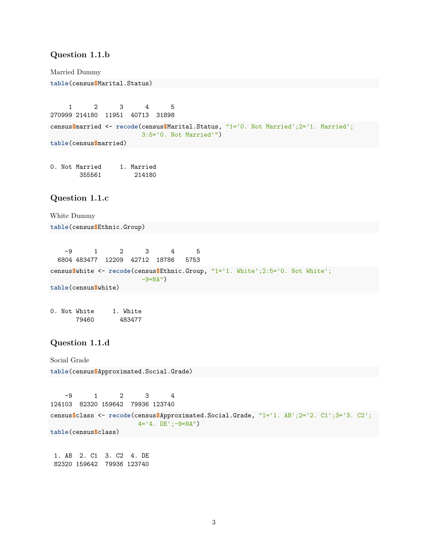## <span id="page-2-0"></span>**Question 1.1.b**

Married Dummy

**table**(census**\$**Marital.Status)

1 2 3 4 5 270999 214180 11951 40713 31898 census**\$**married <- **recode**(census**\$**Marital.Status, "1='0. Not Married';2='1. Married'; 3:5='0. Not Married'") **table**(census**\$**married)

0. Not Married 1. Married 355561 214180

## <span id="page-2-1"></span>**Question 1.1.c**

White Dummy

**table**(census**\$**Ethnic.Group)

-9 1 2 3 4 5 6804 483477 12209 42712 18786 5753 census**\$**white <- **recode**(census**\$**Ethnic.Group, "1='1. White';2:5='0. Not White';  $-9=NA''$ ) **table**(census**\$**white)

0. Not White 1. White 79460 483477

## <span id="page-2-2"></span>**Question 1.1.d**

Social Grade **table**(census**\$**Approximated.Social.Grade)

-9 1 2 3 4 124103 82320 159642 79936 123740 census**\$**class <- **recode**(census**\$**Approximated.Social.Grade, "1='1. AB';2='2. C1';3='3. C2'; 4='4. DE';-9=NA") **table**(census**\$**class)

1. AB 2. C1 3. C2 4. DE 82320 159642 79936 123740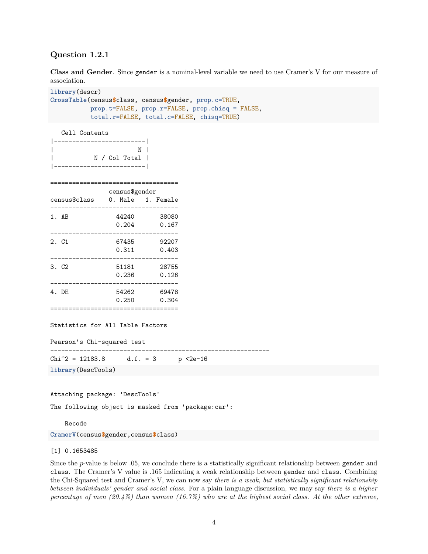## <span id="page-3-0"></span>**Question 1.2.1**

**Class and Gender**. Since gender is a nominal-level variable we need to use Cramer's V for our measure of association.

```
library(descr)
CrossTable(census$class, census$gender, prop.c=TRUE,
           prop.t=FALSE, prop.r=FALSE, prop.chisq = FALSE,
           total.r=FALSE, total.c=FALSE, chisq=TRUE)
```
Cell Contents

|               | ___________<br>N<br>N / Col Total  <br>------------------- |                |
|---------------|------------------------------------------------------------|----------------|
| census\$class | census\$gender<br>0. Male 1. Female                        |                |
| 1.AB          | 44240<br>0.204                                             | 38080<br>0.167 |
| 2. C1         | 67435<br>0.311                                             | 92207<br>0.403 |
|               |                                                            |                |

3. C2 51181 28755 0.236 0.126 ----------------------------------- 4. DE 54262 69478 0.250 0.304 ===================================

Statistics for All Table Factors

Pearson's Chi-squared test

------------------------------------------------------------

 $Chi^2 = 12183.8$  d.f. = 3 p <2e-16

**library**(DescTools)

Attaching package: 'DescTools'

The following object is masked from 'package:car':

Recode

**CramerV**(census**\$**gender,census**\$**class)

#### [1] 0.1653485

Since the *p*-value is below .05, we conclude there is a statistically significant relationship between gender and class. The Cramer's V value is .165 indicating a weak relationship between gender and class. Combining the Chi-Squared test and Cramer's V, we can now say *there is a weak, but statistically significant relationship between individuals' gender and social class*. For a plain language discussion, we may say *there is a higher percentage of men (20.4%) than women (16.7%) who are at the highest social class. At the other extreme,*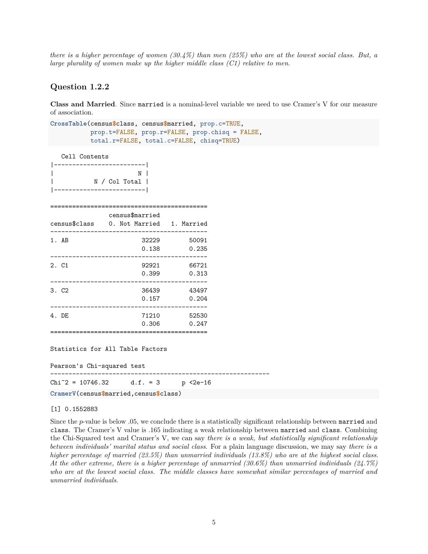*there is a higher percentage of women (30.4%) than men (25%) who are at the lowest social class. But, a large plurality of women make up the higher middle class (C1) relative to men*.

#### <span id="page-4-0"></span>**Question 1.2.2**

**Class and Married**. Since married is a nominal-level variable we need to use Cramer's V for our measure of association.

**CrossTable**(census**\$**class, census**\$**married, prop.c=TRUE, prop.t=FALSE, prop.r=FALSE, prop.chisq = FALSE, total.r=FALSE, total.c=FALSE, chisq=TRUE)

Cell Contents

| ------------------------- <br>$\overline{\phantom{a}}$         | N               |               |  |
|----------------------------------------------------------------|-----------------|---------------|--|
| census\$class 0. Not Married 1. Married                        | census\$married |               |  |
| 1.AB                                                           |                 | 32229 50091   |  |
| ------------------------------------                           |                 | 0.138 0.235   |  |
| 2. C1                                                          |                 | 92921 66721   |  |
|                                                                |                 | 0.399 0.313   |  |
| 3. C <sub>2</sub>                                              |                 | 36439 43497   |  |
| ------------------------------------                           |                 | $0.157$ 0.204 |  |
| 4. DE                                                          |                 | 71210 52530   |  |
|                                                                |                 | $0.306$ 0.247 |  |
| Statistics for All Table Factors<br>Pearson's Chi-squared test |                 |               |  |
| Chi <sup>2</sup> = 10746.32 d.f. = 3 p <2e-16                  |                 |               |  |
| CramerV(census\$married,census\$class)                         |                 |               |  |

#### [1] 0.1552883

Since the *p*-value is below .05, we conclude there is a statistically significant relationship between married and class. The Cramer's V value is .165 indicating a weak relationship between married and class. Combining the Chi-Squared test and Cramer's V, we can say *there is a weak, but statistically significant relationship between individuals' marital status and social class*. For a plain language discussion, we may say *there is a higher percentage of married (23.5%) than unmarried individuals (13.8%) who are at the highest social class. At the other extreme, there is a higher percentage of unmarried (30.6%) than unmarried individuals (24.7%) who are at the lowest social class. The middle classes have somewhat similar percentages of married and unmarried individuals*.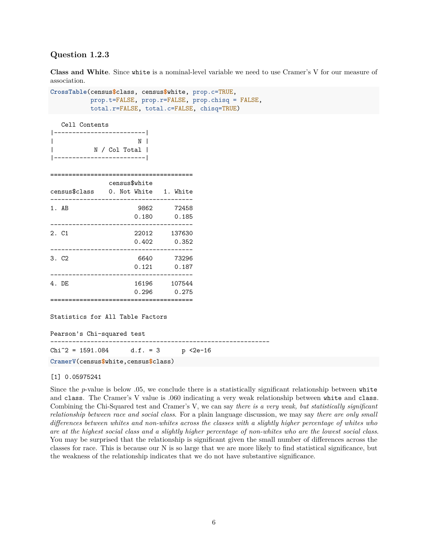## <span id="page-5-0"></span>**Question 1.2.3**

| N | | N / Col Total |

**Class and White**. Since white is a nominal-level variable we need to use Cramer's V for our measure of association.

**CrossTable**(census**\$**class, census**\$**white, prop.c=TRUE, prop.t=FALSE, prop.r=FALSE, prop.chisq = FALSE, total.r=FALSE, total.c=FALSE, chisq=TRUE) Cell Contents |-------------------------|

|                   | _____________________ |          |
|-------------------|-----------------------|----------|
|                   | census\$white         |          |
| census\$class     | 0. Not White          | 1. White |
| 1.AB              | 9862                  | 72458    |
|                   | 0.180                 | 0.185    |
| 2. C1             | 22012                 | 137630   |
|                   | 0.402                 | 0.352    |
| 3. C <sub>2</sub> | 6640                  | 73296    |
|                   | 0.121                 | 0.187    |
| 4. DE             | 16196                 | 107544   |
|                   | 0.296                 | 0.275    |
|                   |                       |          |

Statistics for All Table Factors

Pearson's Chi-squared test

------------------------------------------------------------

 $Chi^2 = 1591.084$  d.f. = 3 p <2e-16

**CramerV**(census**\$**white,census**\$**class)

#### [1] 0.05975241

Since the *p*-value is below .05, we conclude there is a statistically significant relationship between white and class. The Cramer's V value is .060 indicating a very weak relationship between white and class. Combining the Chi-Squared test and Cramer's V, we can say *there is a very weak, but statistically significant relationship between race and social class*. For a plain language discussion, we may say *there are only small differences between whites and non-whites across the classes with a slightly higher percentage of whites who are at the highest social class and a slightly higher percentage of non-whites who are the lowest social class*. You may be surprised that the relationship is significant given the small number of differences across the classes for race. This is because our N is so large that we are more likely to find statistical significance, but the weakness of the relationship indicates that we do not have substantive significance.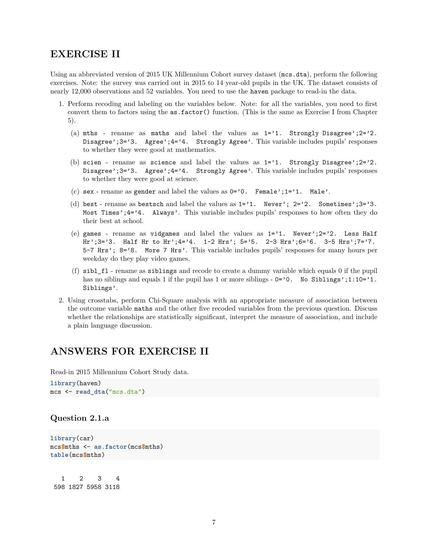## <span id="page-6-0"></span>**EXERCISE II**

Using an abbreviated version of 2015 UK Millennium Cohort survey dataset (mcs.dta), perform the following exercises. Note: the survey was carried out in 2015 to 14 year-old pupils in the UK. The dataset consists of nearly 12,000 observations and 52 variables. You need to use the haven package to read-in the data.

- 1. Perform recoding and labeling on the variables below. Note: for all the variables, you need to first convert them to factors using the as.factor() function. (This is the same as Exercise I from Chapter 5).
	- (a) mths rename as maths and label the values as  $1='1$ . Strongly Disagree';  $2='2$ . Disagree';3='3. Agree';4='4. Strongly Agree'. This variable includes pupils' responses to whether they were good at mathematics.
	- (b) scien rename as science and label the values as 1='1. Strongly Disagree';2='2. Disagree';3='3. Agree';4='4. Strongly Agree'. This variable includes pupils' responses to whether they were good at science.
	- (c) sex rename as gender and label the values as  $0='0$ . Female'; $1='1$ . Male'.
	- (d) best rename as bestsch and label the values as  $1='1$ . Never';  $2='2$ . Sometimes';  $3='3$ . Most Times';  $4 = 4$ . Always'. This variable includes pupils' responses to how often they do their best at school.
	- (e) games rename as vidgames and label the values as  $1='1$ . Never';  $2='2$ . Less Half Hr';3='3. Half Hr to Hr';4='4.  $1-2$  Hrs'; 5='5.  $2-3$  Hrs';6='6.  $3-5$  Hrs';7='7. 5-7 Hrs'; 8='8. More 7 Hrs'. This variable includes pupils' responses for many hours per weekday do they play video games.
	- (f) sibl $f$ l rename as siblings and recode to create a dummy variable which equals 0 if the pupil has no siblings and equals 1 if the pupil has 1 or more siblings -  $0='0$ . No Siblings';1:10='1. Siblings'.
- 2. Using crosstabs, perform Chi-Square analysis with an appropriate measure of association between the outcome variable maths and the other five recoded variables from the previous question. Discuss whether the relationships are statistically significant, interpret the measure of association, and include a plain language discussion.

## <span id="page-6-1"></span>**ANSWERS FOR EXERCISE II**

Read-in 2015 Millennium Cohort Study data.

**library**(haven) mcs <- **read\_dta**("mcs.dta")

## <span id="page-6-2"></span>**Question 2.1.a**

```
library(car)
mcs$mths <- as.factor(mcs$mths)
table(mcs$mths)
```
1 2 3 4 598 1827 5958 3118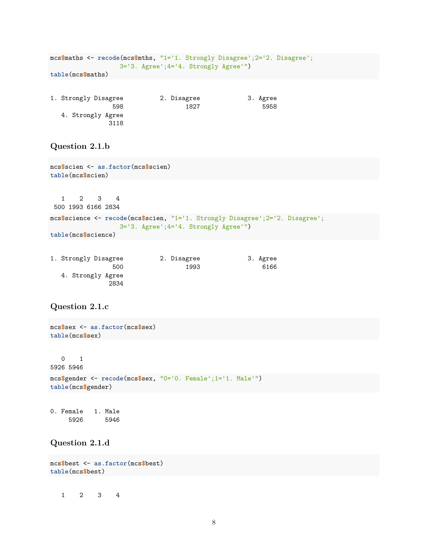|                           |  |                                             | mcs\$maths <- recode(mcs\$mths, "1='1. Strongly Disagree';2='2. Disagree'; |  |
|---------------------------|--|---------------------------------------------|----------------------------------------------------------------------------|--|
|                           |  | $3=13$ . Agree'; $4=14$ . Strongly Agree'") |                                                                            |  |
| $table(mcs\text{Smaths})$ |  |                                             |                                                                            |  |
|                           |  |                                             |                                                                            |  |

| 1. Strongly Disagree | 2. Disagree | 3. Agree |
|----------------------|-------------|----------|
| 598                  | 1827        | 5958     |
| 4. Strongly Agree    |             |          |
| 3118                 |             |          |

## <span id="page-7-0"></span>**Question 2.1.b**

```
mcs$scien <- as.factor(mcs$scien)
table(mcs$scien)
  1 2 3 4
500 1993 6166 2834
mcs$science <- recode(mcs$scien, "1='1. Strongly Disagree';2='2. Disagree';
                  3='3. Agree';4='4. Strongly Agree'")
table(mcs$science)
```

| 1. Strongly Disagree      | 2. Disagree | 3. Agree |
|---------------------------|-------------|----------|
| 500                       | 1993        | 6166     |
| 4. Strongly Agree<br>2834 |             |          |

## <span id="page-7-1"></span>**Question 2.1.c**

```
mcs$sex <- as.factor(mcs$sex)
table(mcs$sex)
  0 1
5926 5946
mcs$gender <- recode(mcs$sex, "0='0. Female';1='1. Male'")
table(mcs$gender)
```

```
0. Female 1. Male
   5926 5946
```
## <span id="page-7-2"></span>**Question 2.1.d**

```
mcs$best <- as.factor(mcs$best)
table(mcs$best)
```
1 2 3 4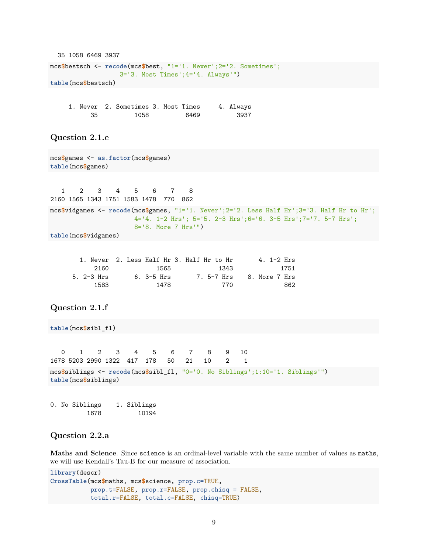```
35 1058 6469 3937
mcs$bestsch <- recode(mcs$best, "1='1. Never';2='2. Sometimes';
                   3='3. Most Times';4='4. Always'")
table(mcs$bestsch)
```

|     | 1. Never 2. Sometimes 3. Most Times |  |      | 4. Always |
|-----|-------------------------------------|--|------|-----------|
| -35 | 1058                                |  | 6469 | 3937      |

## <span id="page-8-0"></span>**Question 2.1.e**

```
mcs$games <- as.factor(mcs$games)
table(mcs$games)
```
1 2 3 4 5 6 7 8 2160 1565 1343 1751 1583 1478 770 862 mcs**\$**vidgames <- **recode**(mcs**\$**games, "1='1. Never';2='2. Less Half Hr';3='3. Half Hr to Hr'; 4='4. 1-2 Hrs'; 5='5. 2-3 Hrs';6='6. 3-5 Hrs';7='7. 5-7 Hrs'; 8='8. More 7 Hrs'") **table**(mcs**\$**vidgames)

|               | 1. Never 2. Less Half Hr 3. Half Hr to Hr |      | 4. $1-2$ Hrs                 |
|---------------|-------------------------------------------|------|------------------------------|
| 2160          | - 1565                                    | 1343 | 1751                         |
| $5.2 - 3$ Hrs | 6. 3-5 Hrs                                |      | 7. 5-7 Hrs     8. More 7 Hrs |
| 1583          | 1478                                      | 770  | 862                          |

## <span id="page-8-1"></span>**Question 2.1.f**

```
table(mcs$sibl_fl)
  0 1 2 3 4 5 6 7 8 9 10
1678 5203 2990 1322 417 178 50 21 10 2 1
mcs$siblings <- recode(mcs$sibl_fl, "0='0. No Siblings';1:10='1. Siblings'")
table(mcs$siblings)
```
0. No Siblings 1. Siblings 1678 10194

## <span id="page-8-2"></span>**Question 2.2.a**

**Maths and Science**. Since science is an ordinal-level variable with the same number of values as maths, we will use Kendall's Tau-B for our measure of association.

```
library(descr)
CrossTable(mcs$maths, mcs$science, prop.c=TRUE,
           prop.t=FALSE, prop.r=FALSE, prop.chisq = FALSE,
           total.r=FALSE, total.c=FALSE, chisq=TRUE)
```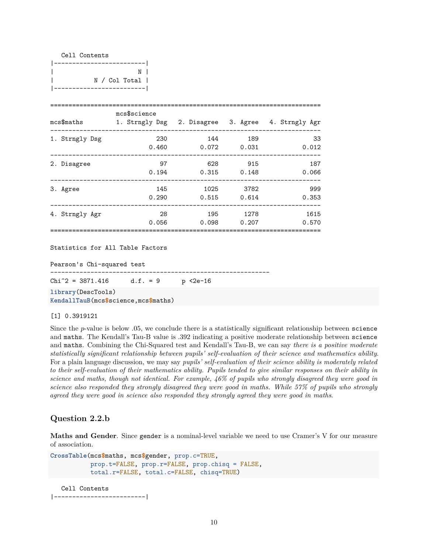|  | Cell Contents |  |               |  |
|--|---------------|--|---------------|--|
|  | ------        |  |               |  |
|  |               |  | N             |  |
|  |               |  | N / Col Total |  |
|  |               |  |               |  |

|                | mcs\$science |       |       |                                                    |
|----------------|--------------|-------|-------|----------------------------------------------------|
| mcs\$maths     |              |       |       | 1. Strngly Dsg 2. Disagree 3. Agree 4. Strngly Agr |
| 1. Strngly Dsg | 230          | 144   | 189   | 33                                                 |
|                | 0.460        | 0.072 | 0.031 | 0.012                                              |
| 2. Disagree    | 97           | 628   | 915   | 187                                                |
|                | 0.194        | 0.315 | 0.148 | 0.066                                              |
| 3. Agree       | 145          | 1025  | 3782  | 999                                                |
|                | 0.290        | 0.515 | 0.614 | 0.353                                              |
| 4. Strngly Agr | 28           | 195   | 1278  | 1615                                               |
|                | 0.056        | 0.098 | 0.207 | 0.570                                              |

Pearson's Chi-squared test ------------------------------------------------------------  $Chi^2 = 3871.416$  d.f. = 9 p <2e-16 **library**(DescTools)

**KendallTauB**(mcs**\$**science,mcs**\$**maths)

#### [1] 0.3919121

Since the *p*-value is below .05, we conclude there is a statistically significant relationship between science and maths. The Kendall's Tau-B value is .392 indicating a positive moderate relationship between science and maths. Combining the Chi-Squared test and Kendall's Tau-B, we can say *there is a positive moderate statistically significant relationship between pupils' self-evaluation of their science and mathematics ability*. For a plain language discussion, we may say *pupils' self-evaluation of their science ability is moderately related to their self-evaluation of their mathematics ability. Pupils tended to give similar responses on their ability in science and maths, though not identical. For example, 46% of pupils who strongly disagreed they were good in science also responded they strongly disagreed they were good in maths. While 57% of pupils who strongly agreed they were good in science also responded they strongly agreed they were good in maths*.

#### <span id="page-9-0"></span>**Question 2.2.b**

**Maths and Gender**. Since gender is a nominal-level variable we need to use Cramer's V for our measure of association.

```
CrossTable(mcs$maths, mcs$gender, prop.c=TRUE,
           prop.t=FALSE, prop.r=FALSE, prop.chisq = FALSE,
           total.r=FALSE, total.c=FALSE, chisq=TRUE)
```
Cell Contents

|-------------------------|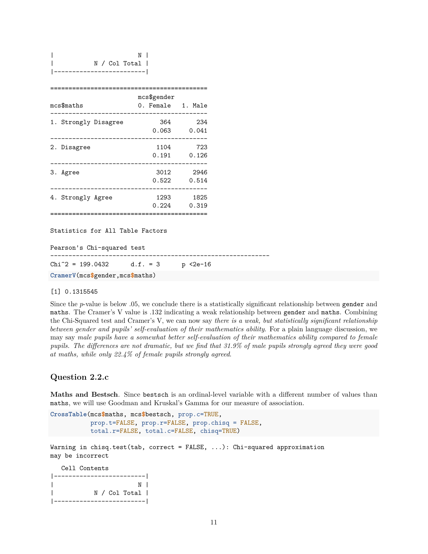| mcs\$maths           | mcs\$gender<br>0. Female<br>1. Male |
|----------------------|-------------------------------------|
|                      |                                     |
| 1. Strongly Disagree | 364<br>234                          |
|                      | 0.063<br>0.041                      |
| 2. Disagree          | 1104<br>723                         |
|                      | 0.126<br>0.191                      |
| 3. Agree             | 3012<br>2946                        |
|                      | 0.522<br>0.514                      |
| 4. Strongly Agree    | 1825<br>1293                        |
|                      | 0.224<br>0.319                      |
|                      |                                     |
|                      |                                     |

Pearson's Chi-squared test ------------------------------------------------------------  $Chi^2 = 199.0432$  d.f. = 3 p <2e-16 **CramerV**(mcs**\$**gender,mcs**\$**maths)

#### [1] 0.1315545

Since the *p*-value is below .05, we conclude there is a statistically significant relationship between gender and maths. The Cramer's V value is .132 indicating a weak relationship between gender and maths. Combining the Chi-Squared test and Cramer's V, we can now say *there is a weak, but statistically significant relationship between gender and pupils' self-evaluation of their mathematics ability*. For a plain language discussion, we may say *male pupils have a somewhat better self-evaluation of their mathematics ability compared to female pupils. The differences are not dramatic, but we find that 31.9% of male pupils strongly agreed they were good at maths, while only 22.4% of female pupils strongly agreed*.

## <span id="page-10-0"></span>**Question 2.2.c**

**Maths and Bestsch**. Since bestsch is an ordinal-level variable with a different number of values than maths, we will use Goodman and Kruskal's Gamma for our measure of association.

```
CrossTable(mcs$maths, mcs$bestsch, prop.c=TRUE,
           prop.t=FALSE, prop.r=FALSE, prop.chisq = FALSE,
           total.r=FALSE, total.c=FALSE, chisq=TRUE)
```
Warning in chisq.test(tab, correct = FALSE,  $\ldots$ ): Chi-squared approximation may be incorrect

Cell Contents

|-------------------------| | N | | N / Col Total | |-------------------------|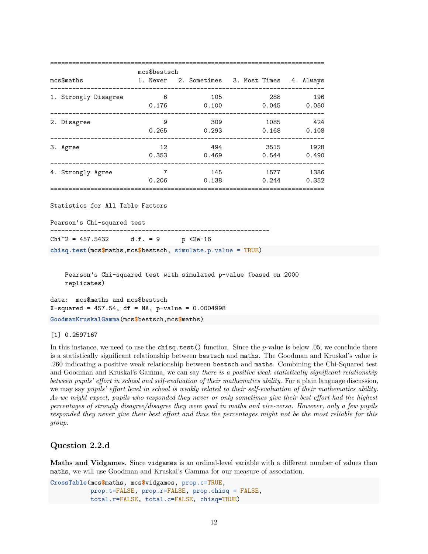|                                                                                 | mcs\$bestsch    |     |                                                          |  |  |  |  |
|---------------------------------------------------------------------------------|-----------------|-----|----------------------------------------------------------|--|--|--|--|
| mcs\$maths                                                                      |                 |     | 1. Never 2. Sometimes 3. Most Times 4. Always            |  |  |  |  |
| 1. Strongly Disagree 6 6 105                                                    |                 |     | 288 196                                                  |  |  |  |  |
|                                                                                 |                 |     | 0.176 0.100 0.045 0.050<br>----------------------------- |  |  |  |  |
| 2. Disagree                                                                     | $\overline{9}$  | 309 | 1085 424                                                 |  |  |  |  |
|                                                                                 |                 |     | $0.265$ 0.293 0.168 0.108                                |  |  |  |  |
| 3. Agree                                                                        | 12              | 494 | 3515 1928                                                |  |  |  |  |
|                                                                                 |                 |     | $0.353$ $0.469$ $0.544$ $0.490$                          |  |  |  |  |
| 4. Strongly Agree                                                               | $7\overline{7}$ | 145 | 1577 1386                                                |  |  |  |  |
|                                                                                 |                 |     | $0.206$ $0.138$ $0.244$ $0.352$                          |  |  |  |  |
|                                                                                 |                 |     |                                                          |  |  |  |  |
| Statistics for All Table Factors                                                |                 |     |                                                          |  |  |  |  |
| Pearson's Chi-squared test                                                      |                 |     |                                                          |  |  |  |  |
| Chi <sup>2</sup> = 457.5432 d.f. = 9 p <2e-16                                   |                 |     |                                                          |  |  |  |  |
| chisq.test( $mcs$ \$maths, $mcs$ \$bestsch, simulate.p.value = TRUE)            |                 |     |                                                          |  |  |  |  |
|                                                                                 |                 |     |                                                          |  |  |  |  |
| Pearson's Chi-squared test with simulated p-value (based on 2000<br>replicates) |                 |     |                                                          |  |  |  |  |

data: mcs\$maths and mcs\$bestsch X-squared = 457.54, df = NA, p-value = 0.0004998 **GoodmanKruskalGamma**(mcs**\$**bestsch,mcs**\$**maths)

[1] 0.2597167

In this instance, we need to use the chisq.test() function. Since the *p*-value is below .05, we conclude there is a statistically significant relationship between bestsch and maths. The Goodman and Kruskal's value is .260 indicating a positive weak relationship between bestsch and maths. Combining the Chi-Squared test and Goodman and Kruskal's Gamma, we can say *there is a positive weak statistically significant relationship between pupils' effort in school and self-evaluation of their mathematics ability*. For a plain language discussion, we may say *pupils' effort level in school is weakly related to their self-evaluation of their mathematics ability. As we might expect, pupils who responded they never or only sometimes give their best effort had the highest percentages of strongly disagree/disagree they were good in maths and vice-versa. However, only a few pupils responded they never give their best effort and thus the percentages might not be the most reliable for this group*.

## <span id="page-11-0"></span>**Question 2.2.d**

**Maths and Vidgames**. Since vidgames is an ordinal-level variable with a different number of values than maths, we will use Goodman and Kruskal's Gamma for our measure of association.

```
CrossTable(mcs$maths, mcs$vidgames, prop.c=TRUE,
           prop.t=FALSE, prop.r=FALSE, prop.chisq = FALSE,
           total.r=FALSE, total.c=FALSE, chisq=TRUE)
```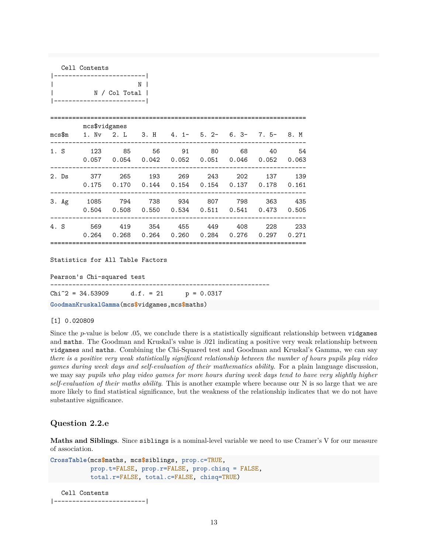| Cell Contents |                                                                                                          |                                                        |  |  |  |  |  |
|---------------|----------------------------------------------------------------------------------------------------------|--------------------------------------------------------|--|--|--|--|--|
|               | ------------------------- <br>  N / Col Total  <br> -------------------------                            | $N \mid$                                               |  |  |  |  |  |
|               | mcs\$vidgames<br>mcs\$m  1. Nv  2. L  3. H  4. 1  5. 2  6. 3  7. 5  8. M                                 |                                                        |  |  |  |  |  |
|               | 1. S 123 85 56 91 80 68 40 54<br>$0.057$ $0.054$ $0.042$ $0.052$ $0.051$ $0.046$ $0.052$ $0.063$         |                                                        |  |  |  |  |  |
|               | 2. Ds 377 265 193 269 243 202 137 139<br>$0.175$ $0.170$ $0.144$ $0.154$ $0.154$ $0.137$ $0.178$ $0.161$ |                                                        |  |  |  |  |  |
|               | 3. Ag 1085 794 738 934 807 798 363 435                                                                   | 0.504  0.508  0.550  0.534  0.511  0.541  0.473  0.505 |  |  |  |  |  |
|               | 4. S 569 419 354 455 449 408 228 233                                                                     | 0.264 0.268 0.264 0.260 0.284 0.276 0.297 0.271        |  |  |  |  |  |
|               |                                                                                                          |                                                        |  |  |  |  |  |

Pearson's Chi-squared test

------------------------------------------------------------

Chi<sup> $2$ </sup> = 34.53909 d.f. = 21 p = 0.0317

**GoodmanKruskalGamma**(mcs**\$**vidgames,mcs**\$**maths)

[1] 0.020809

Since the *p*-value is below .05, we conclude there is a statistically significant relationship between vidgames and maths. The Goodman and Kruskal's value is .021 indicating a positive very weak relationship between vidgames and maths. Combining the Chi-Squared test and Goodman and Kruskal's Gamma, we can say *there is a positive very weak statistically significant relationship between the number of hours pupils play video games during week days and self-evaluation of their mathematics ability*. For a plain language discussion, we may say *pupils who play video games for more hours during week days tend to have very slightly higher self-evaluation of their maths ability*. This is another example where because our N is so large that we are more likely to find statistical significance, but the weakness of the relationship indicates that we do not have substantive significance.

## <span id="page-12-0"></span>**Question 2.2.e**

**Maths and Siblings**. Since siblings is a nominal-level variable we need to use Cramer's V for our measure of association.

```
CrossTable(mcs$maths, mcs$siblings, prop.c=TRUE,
           prop.t=FALSE, prop.r=FALSE, prop.chisq = FALSE,
           total.r=FALSE, total.c=FALSE, chisq=TRUE)
```

```
Cell Contents
|-------------------------|
```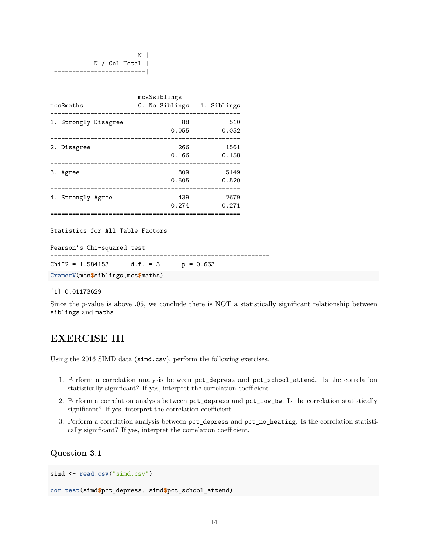| mcs\$maths           | mcs\$siblings<br>0. No Siblings | 1. Siblings   |  |  |  |
|----------------------|---------------------------------|---------------|--|--|--|
| 1. Strongly Disagree | 88<br>0.055                     | 510<br>0.052  |  |  |  |
| 2. Disagree          | 266<br>0.166                    | 1561<br>0.158 |  |  |  |
| Agree<br>З.          | 809<br>0.505                    | 5149<br>0.520 |  |  |  |
| 4. Strongly Agree    | 439<br>0.274                    | 2679<br>0.271 |  |  |  |
|                      |                                 |               |  |  |  |

Pearson's Chi-squared test ------------------------------------------------------------ Chi<sup> $2$ </sup> = 1.584153 d.f. = 3 p = 0.663 **CramerV**(mcs**\$**siblings,mcs**\$**maths)

#### [1] 0.01173629

Since the *p*-value is above .05, we conclude there is NOT a statistically significant relationship between siblings and maths.

## <span id="page-13-0"></span>**EXERCISE III**

Using the 2016 SIMD data (simd.csv), perform the following exercises.

- 1. Perform a correlation analysis between pct\_depress and pct\_school\_attend. Is the correlation statistically significant? If yes, interpret the correlation coefficient.
- 2. Perform a correlation analysis between pct\_depress and pct\_low\_bw. Is the correlation statistically significant? If yes, interpret the correlation coefficient.
- 3. Perform a correlation analysis between pct\_depress and pct\_no\_heating. Is the correlation statistically significant? If yes, interpret the correlation coefficient.

## <span id="page-13-1"></span>**Question 3.1**

```
simd \leftarrow read.csv<sup>("simd.csv")</sup>
cor.test(simd$pct_depress, simd$pct_school_attend)
```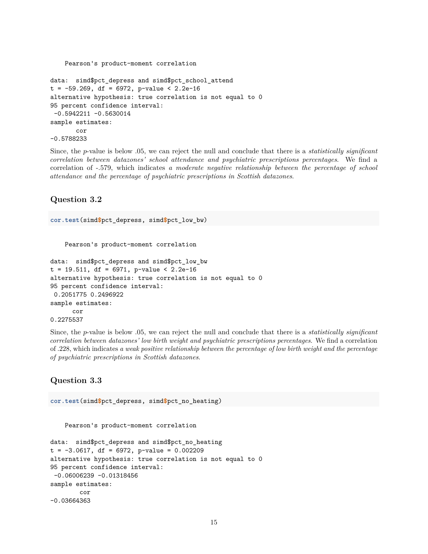```
Pearson's product-moment correlation
data: simd$pct_depress and simd$pct_school_attend
t = -59.269, df = 6972, p-value < 2.2e-16
alternative hypothesis: true correlation is not equal to 0
95 percent confidence interval:
 -0.5942211 -0.5630014sample estimates:
       cor
-0.5788233
```
Since, the *p*-value is below .05, we can reject the null and conclude that there is a *statistically significant correlation between datazones' school attendance and psychiatric prescriptions percentages*. We find a correlation of -.579, which indicates *a moderate negative relationship between the percentage of school attendance and the percentage of psychiatric prescriptions in Scottish datazones*.

## <span id="page-14-0"></span>**Question 3.2**

**cor.test**(simd**\$**pct\_depress, simd**\$**pct\_low\_bw)

Pearson's product-moment correlation

```
data: simd$pct_depress and simd$pct_low_bw
t = 19.511, df = 6971, p-value < 2.2e-16
alternative hypothesis: true correlation is not equal to 0
95 percent confidence interval:
0.2051775 0.2496922
sample estimates:
      cor
0.2275537
```
Since, the *p*-value is below .05, we can reject the null and conclude that there is a *statistically significant correlation between datazones' low birth weight and psychiatric prescriptions percentages*. We find a correlation of .228, which indicates *a weak positive relationship between the percentage of low birth weight and the percentage of psychiatric prescriptions in Scottish datazones*.

#### <span id="page-14-1"></span>**Question 3.3**

```
cor.test(simd$pct_depress, simd$pct_no_heating)
```
Pearson's product-moment correlation

```
data: simd$pct_depress and simd$pct_no_heating
t = -3.0617, df = 6972, p-value = 0.002209
alternative hypothesis: true correlation is not equal to 0
95 percent confidence interval:
 -0.06006239 -0.01318456
sample estimates:
        cor
-0.03664363
```